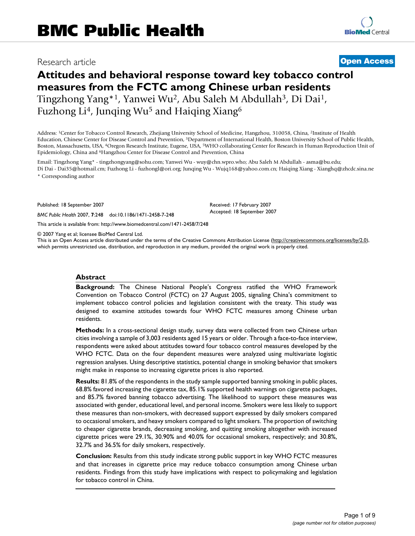# Research article **[Open Access](http://www.biomedcentral.com/info/about/charter/)**

# **Attitudes and behavioral response toward key tobacco control measures from the FCTC among Chinese urban residents** Tingzhong Yang\*1, Yanwei Wu2, Abu Saleh M Abdullah3, Di Dai1, Fuzhong Li<sup>4</sup>, Junqing Wu<sup>5</sup> and Haiqing Xiang<sup>6</sup>

Address: 1Center for Tobacco Control Research, Zhejiang University School of Medicine, Hangzhou, 310058, China, 2Institute of Health Education, Chinese Center for Disease Control and Prevention, 3Department of International Health, Boston University School of Public Health, Boston, Massachusetts, USA, 4Oregon Research Institute, Eugene, USA, 5WHO collaborating Center for Research in Human Reproduction Unit of Epidemiology, China and 6Hangzhou Center for Disease Control and Prevention, China

Email: Tingzhong Yang\* - tingzhongyang@sohu.com; Yanwei Wu - wuy@chn.wpro.who; Abu Saleh M Abdullah - asma@bu.edu; Di Dai - Dai35@hotmail.cm; Fuzhong Li - fuzhongl@ori.org; Junqing Wu - Wujq168@yahoo.com.cn; Haiqing Xiang - Xianghq@zhcdc.sina.ne \* Corresponding author

> Received: 17 February 2007 Accepted: 18 September 2007

Published: 18 September 2007

*BMC Public Health* 2007, **7**:248 doi:10.1186/1471-2458-7-248

[This article is available from: http://www.biomedcentral.com/1471-2458/7/248](http://www.biomedcentral.com/1471-2458/7/248)

© 2007 Yang et al; licensee BioMed Central Ltd.

This is an Open Access article distributed under the terms of the Creative Commons Attribution License [\(http://creativecommons.org/licenses/by/2.0\)](http://creativecommons.org/licenses/by/2.0), which permits unrestricted use, distribution, and reproduction in any medium, provided the original work is properly cited.

#### **Abstract**

**Background:** The Chinese National People's Congress ratified the WHO Framework Convention on Tobacco Control (FCTC) on 27 August 2005, signaling China's commitment to implement tobacco control policies and legislation consistent with the treaty. This study was designed to examine attitudes towards four WHO FCTC measures among Chinese urban residents.

**Methods:** In a cross-sectional design study, survey data were collected from two Chinese urban cities involving a sample of 3,003 residents aged 15 years or older. Through a face-to-face interview, respondents were asked about attitudes toward four tobacco control measures developed by the WHO FCTC. Data on the four dependent measures were analyzed using multivariate logistic regression analyses. Using descriptive statistics, potential change in smoking behavior that smokers might make in response to increasing cigarette prices is also reported.

**Results:** 81.8% of the respondents in the study sample supported banning smoking in public places, 68.8% favored increasing the cigarette tax, 85.1% supported health warnings on cigarette packages, and 85.7% favored banning tobacco advertising. The likelihood to support these measures was associated with gender, educational level, and personal income. Smokers were less likely to support these measures than non-smokers, with decreased support expressed by daily smokers compared to occasional smokers, and heavy smokers compared to light smokers. The proportion of switching to cheaper cigarette brands, decreasing smoking, and quitting smoking altogether with increased cigarette prices were 29.1%, 30.90% and 40.0% for occasional smokers, respectively; and 30.8%, 32.7% and 36.5% for daily smokers, respectively.

**Conclusion:** Results from this study indicate strong public support in key WHO FCTC measures and that increases in cigarette price may reduce tobacco consumption among Chinese urban residents. Findings from this study have implications with respect to policymaking and legislation for tobacco control in China.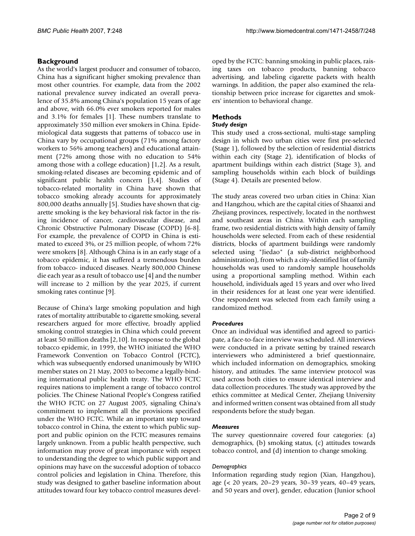# **Background**

As the world's largest producer and consumer of tobacco, China has a significant higher smoking prevalence than most other countries. For example, data from the 2002 national prevalence survey indicated an overall prevalence of 35.8% among China's population 15 years of age and above, with 66.0% ever smokers reported for males and 3.1% for females [1]. These numbers translate to approximately 350 million ever smokers in China. Epidemiological data suggests that patterns of tobacco use in China vary by occupational groups (71% among factory workers to 56% among teachers) and educational attainment (72% among those with no education to 54% among those with a college education) [1,2]. As a result, smoking-related diseases are becoming epidemic and of significant public health concern [3,4]. Studies of tobacco-related mortality in China have shown that tobacco smoking already accounts for approximately 800,000 deaths annually [5]. Studies have shown that cigarette smoking is the key behavioral risk factor in the rising incidence of cancer, cardiovascular disease, and Chronic Obstructive Pulmonary Disease (COPD) [6-8]. For example, the prevalence of COPD in China is estimated to exceed 3%, or 25 million people, of whom 72% were smokers [8]. Although China is in an early stage of a tobacco epidemic, it has suffered a tremendous burden from tobacco- induced diseases. Nearly 800,000 Chinese die each year as a result of tobacco use [4] and the number will increase to 2 million by the year 2025, if current smoking rates continue [9].

Because of China's large smoking population and high rates of mortality attributable to cigarette smoking, several researchers argued for more effective, broadly applied smoking control strategies in China which could prevent at least 50 million deaths [2,10]. In response to the global tobacco epidemic, in 1999, the WHO initiated the WHO Framework Convention on Tobacco Control (FCTC), which was subsequently endorsed unanimously by WHO member states on 21 May, 2003 to become a legally-binding international public health treaty. The WHO FCTC requires nations to implement a range of tobacco control policies. The Chinese National People's Congress ratified the WHO FCTC on 27 August 2005, signaling China's commitment to implement all the provisions specified under the WHO FCTC. While an important step toward tobacco control in China, the extent to which public support and public opinion on the FCTC measures remains largely unknown. From a public health perspective, such information may prove of great importance with respect to understanding the degree to which public support and opinions may have on the successful adoption of tobacco control policies and legislation in China. Therefore, this study was designed to gather baseline information about attitudes toward four key tobacco control measures developed by the FCTC: banning smoking in public places, raising taxes on tobacco products, banning tobacco advertising, and labeling cigarette packets with health warnings. In addition, the paper also examined the relationship between price increase for cigarettes and smokers' intention to behavioral change.

# **Methods**

#### *Study design*

This study used a cross-sectional, multi-stage sampling design in which two urban cities were first pre-selected (Stage 1), followed by the selection of residential districts within each city (Stage 2), identification of blocks of apartment buildings within each district (Stage 3), and sampling households within each block of buildings (Stage 4). Details are presented below.

The study areas covered two urban cities in China: Xian and Hangzhou, which are the capital cities of Shaanxi and Zhejiang provinces, respectively, located in the northwest and southeast areas in China. Within each sampling frame, two residential districts with high density of family households were selected. From each of these residential districts, blocks of apartment buildings were randomly selected using "Jiedao" (a sub-district neighborhood administration), from which a city-identified list of family households was used to randomly sample households using a proportional sampling method. Within each household, individuals aged 15 years and over who lived in their residences for at least one year were identified. One respondent was selected from each family using a randomized method.

#### *Procedures*

Once an individual was identified and agreed to participate, a face-to-face interview was scheduled. All interviews were conducted in a private setting by trained research interviewers who administered a brief questionnaire, which included information on demographics, smoking history, and attitudes. The same interview protocol was used across both cities to ensure identical interview and data collection procedures. The study was approved by the ethics committee at Medical Center, Zhejiang University and informed written consent was obtained from all study respondents before the study began.

#### *Measures*

The survey questionnaire covered four categories: (a) demographics, (b) smoking status, (c) attitudes towards tobacco control, and (d) intention to change smoking.

#### *Demographics*

Information regarding study region (Xian, Hangzhou), age (< 20 years, 20–29 years, 30–39 years, 40–49 years, and 50 years and over), gender, education (Junior school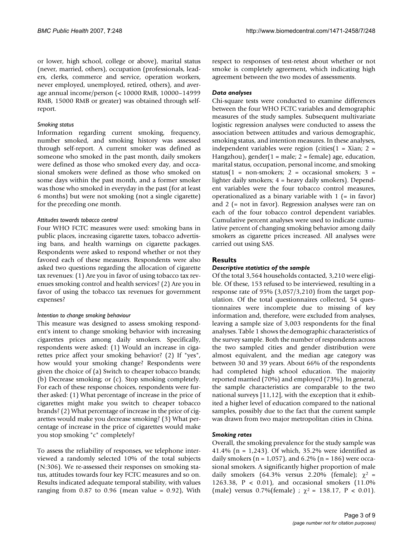or lower, high school, college or above), marital status (never, married, others), occupation (professionals, leaders, clerks, commerce and service, operation workers, never employed, unemployed, retired, others), and average annual income/person (< 10000 RMB, 10000–14999 RMB, 15000 RMB or greater) was obtained through selfreport.

#### *Smoking status*

Information regarding current smoking, frequency, number smoked, and smoking history was assessed through self-report. A current smoker was defined as someone who smoked in the past month, daily smokers were defined as those who smoked every day, and occasional smokers were defined as those who smoked on some days within the past month, and a former smoker was those who smoked in everyday in the past (for at least 6 months) but were not smoking (not a single cigarette) for the preceding one month.

#### *Attitudes towards tobacco control*

Four WHO FCTC measures were used: smoking bans in public places, increasing cigarette taxes, tobacco advertising bans, and health warnings on cigarette packages. Respondents were asked to respond whether or not they favored each of these measures. Respondents were also asked two questions regarding the allocation of cigarette tax revenues: (1) Are you in favor of using tobacco tax revenues smoking control and health services? (2) Are you in favor of using the tobacco tax revenues for government expenses?

#### *Intention to change smoking behaviour*

This measure was designed to assess smoking respondent's intent to change smoking behavior with increasing cigarettes prices among daily smokers. Specifically, respondents were asked: (1) Would an increase in cigarettes price affect your smoking behavior? (2) If "yes", how would your smoking change? Respondents were given the choice of (a) Switch to cheaper tobacco brands; (b) Decrease smoking; or (c). Stop smoking completely. For each of these response choices, respondents were further asked: (1) What percentage of increase in the price of cigarettes might make you switch to cheaper tobacco brands? (2) What percentage of increase in the price of cigarettes would make you decrease smoking? (3) What percentage of increase in the price of cigarettes would make you stop smoking "c" completely?

To assess the reliability of responses, we telephone interviewed a randomly selected 10% of the total subjects (N:306). We re-assessed their responses on smoking status, attitudes towards four key FCTC measures and so on. Results indicated adequate temporal stability, with values ranging from  $0.87$  to  $0.96$  (mean value =  $0.92$ ), With respect to responses of test-retest about whether or not smoke is completely agreement, which indicating high agreement between the two modes of assessments.

#### *Data analyses*

Chi-square tests were conducted to examine differences between the four WHO FCTC variables and demographic measures of the study samples. Subsequent multivariate logistic regression analyses were conducted to assess the association between attitudes and various demographic, smoking status, and intention measures. In these analyses, independent variables were region (cities( $1 =$ Xian;  $2 =$ Hangzhou), gender $(1 = male; 2 = female)$  age, education, marital status, occupation, personal income, and smoking status(1 = non-smokers; 2 = occasional smokers; 3 = lighter daily smokers; 4 = heavy daily smokers). Dependent variables were the four tobacco control measures, operationalized as a binary variable with  $1$  (= in favor) and 2 (= not in favor). Regression analyses were ran on each of the four tobacco control dependent variables. Cumulative percent analyses were used to indicate cumulative percent of changing smoking behavior among daily smokers as cigarette prices increased. All analyses were carried out using SAS.

## **Results**

#### *Descriptive statistics of the sample*

Of the total 3,564 households contacted, 3,210 were eligible. Of these, 153 refused to be interviewed, resulting in a response rate of 95% (3,057/3,210) from the target population. Of the total questionnaires collected, 54 questionnaires were incomplete due to missing of key information and, therefore, were excluded from analyses, leaving a sample size of 3,003 respondents for the final analyses. Table 1 shows the demographic characteristics of the survey sample. Both the number of respondents across the two sampled cities and gender distribution were almost equivalent, and the median age category was between 30 and 39 years. About 66% of the respondents had completed high school education. The majority reported married (70%) and employed (73%). In general, the sample characteristics are comparable to the two national surveys [11,12], with the exception that it exhibited a higher level of education compared to the national samples, possibly due to the fact that the current sample was drawn from two major metropolitan cities in China.

#### *Smoking rates*

Overall, the smoking prevalence for the study sample was 41.4% (n = 1,243). Of which, 35.2% were identified as daily smokers ( $n = 1,057$ ), and 6.2% ( $n = 186$ ) were occasional smokers. A significantly higher proportion of male daily smokers (64.3% versus 2.20% (female);  $\chi^2$  = 1263.38, P < 0.01), and occasional smokers (11.0% (male) versus 0.7%(female) ;  $\chi^2 = 138.17$ , P < 0.01).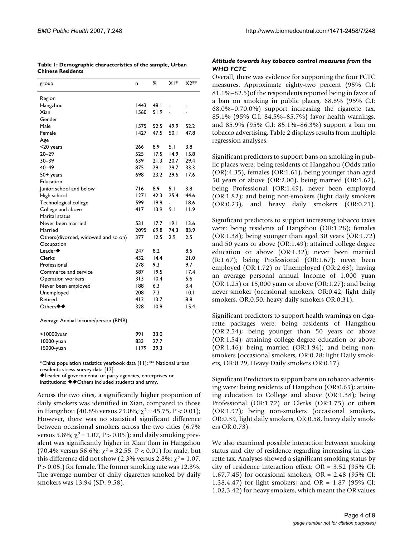| group                               | n    | %    | $X$ <sup>*</sup> | $X2**$ |
|-------------------------------------|------|------|------------------|--------|
| Region                              |      |      |                  |        |
| Hangzhou                            | 1443 | 48.1 |                  |        |
| Xian                                | 1560 | 51.9 |                  |        |
| Gender                              |      |      |                  |        |
| Male                                | 1575 | 52.5 | 49.9             | 52.2   |
| Female                              | 1427 | 47.5 | 50.I             | 47.8   |
| Age                                 |      |      |                  |        |
| <20 years                           | 266  | 8.9  | 5. I             | 3.8    |
| $20 - 29$                           | 525  | 17.5 | 14.9             | 15.8   |
| $30 - 39$                           | 639  | 21.3 | 20.7             | 29.4   |
| $40 - 49$                           | 875  | 29.1 | 29.7.            | 33.3   |
| 50+ years                           | 698  | 23.2 | 29.6             | 17.6   |
| Education                           |      |      |                  |        |
| Junior school and below             | 716  | 8.9  | 5.1              | 3.8    |
| High school                         | 1271 | 42.3 | 25.4             | 44.6   |
| Technological college               | 599  | 19.9 | ÷,               | 18.6   |
| College and above                   | 417  | 13.9 | 9.1              | 11.9   |
| Marital status                      |      |      |                  |        |
| Never been married                  | 531  | 17.7 | 19.1             | 13.6   |
| Married                             | 2095 | 69.8 | 74.3             | 83.9   |
| Others(divorced, widowed and so on) | 377  | 12.5 | 2.9              | 2.5    |
| Occupation                          |      |      |                  |        |
| Leader <sup>+</sup>                 | 247  | 8.2  |                  | 8.5    |
| Clerks                              | 432  | 14.4 |                  | 21.0   |
| Professional                        | 278  | 9.3  |                  | 9.7    |
| Commerce and service                | 587  | 19.5 |                  | 17.4   |
| Operation workers                   | 313  | 10.4 |                  | 5.6    |
| Never been employed                 | 188  | 6.3  |                  | 3.4    |
| Unemployed                          | 208  | 7.3  |                  | 0.1    |
| Retired                             | 412  | 13.7 |                  | 8.8    |
| Others $\blacklozenge\blacklozenge$ | 328  | 10.9 |                  | 15.4   |
| Average Annual Income/person (RMB)  |      |      |                  |        |
| <10000yuan                          | 99 I | 33.0 |                  |        |
| 10000-yuan                          | 833  | 27.7 |                  |        |
| 15000-yuan                          | 1179 | 39.3 |                  |        |

**Table 1: Demographic characteristics of the sample, Urban Chinese Residents**

\*China population statistics yearbook data [11]; \*\* National urban residents stress survey data [12].

Leader of governmental or party agencies, enterprises or

institutions;  $\blacklozenge\blacklozenge$ Others included students and army.

Across the two cites, a significantly higher proportion of daily smokers was identified in Xian, compared to those in Hangzhou (40.8% versus 29.0%;  $\chi^2$  = 45.75, P < 0.01); However, there was no statistical significant difference between occasional smokers across the two cities (6.7% versus 5.8%;  $\chi^2$  = 1.07, P > 0.05.); and daily smoking prevalent was significantly higher in Xian than in Hangzhou (70.4% versus 56.6%;  $\chi^2$  = 32.55, P < 0.01) for male, but this difference did not show (2.3% versus 2.8%;  $\chi^2 = 1.07$ , P > 0.05.) for female. The former smoking rate was 12.3%. The average number of daily cigarettes smoked by daily smokers was 13.94 (SD: 9.58).

#### *Attitude towards key tobacco control measures from the WHO FCTC*

Overall, there was evidence for supporting the four FCTC measures. Approximate eighty-two percent (95% C.I: 81.1%–82.5)of the respondents reported being in favor of a ban on smoking in public places, 68.8% (95% C.I: 68.0%–0.70.0%) support increasing the cigarette tax, 85.1% (95% C.I: 84.5%–85.7%) favor health warnings, and 85.9% (95% C.I: 85.1%–86.3%) support a ban on tobacco advertising. Table 2 displays results from multiple regression analyses.

Significant predictors to support bans on smoking in public places were: being residents of Hangzhou (Odds ratio (OR):4.35), females (OR:1.61), being younger than aged 50 years or above (OR:2.00), being married (OR:1.62), being Professional (OR:1.49), never been employed (OR:1.82); and being non-smokers (light daily smokers (OR:0.23), and heavy daily smokers (OR:0.21).

Significant predictors to support increasing tobacco taxes were: being residents of Hangzhou (OR:1.28); females (OR:1.38); being younger than aged 30 years (OR:1.72) and 50 years or above (OR:1.49); attained college degree education or above (OR:1.32); never been married (R:1.67); being Professional (OR:1.67); never been employed (OR:1.72) or Unemployed (OR:2.63); having an average personal annual Income of 1,000 yuan (OR:1.25) or 15,000 yuan or above (OR:1.27); and being never smoker (occasional smokers, OR:0.42; light daily smokers, OR:0.50; heavy daily smokers OR:0.31).

Significant predictors to support health warnings on cigarette packages were: being residents of Hangzhou (OR:2.54); being younger than 50 years or above (OR:1.54); attaining college degree education or above (OR:1.46); being married (OR:1.94); and being nonsmokers (occasional smokers, OR:0.28; light Daily smokers, OR:0.29, Heavy Daily smokers OR:0.17).

Significant Predictors to support bans on tobacco advertising were: being residents of Hangzhou (OR:0.65); attaining education to College and above (OR:1.38); being Professional (OR:1.72) or Clerks (OR:1.75) or others (OR:1.92); being non-smokers (occasional smokers, OR:0.39, light daily smokers, OR:0.58, heavy daily smokers OR:0.73).

We also examined possible interaction between smoking status and city of residence regarding increasing in cigarette tax. Analyses showed a significant smoking status by city of residence interaction effect: OR = 3.52 (95% CI: 1.67,7.45) for occasional smokers; OR = 2.48 (95% CI: 1.38,4.47) for light smokers; and OR = 1.87 (95% CI: 1.02,3.42) for heavy smokers, which meant the OR values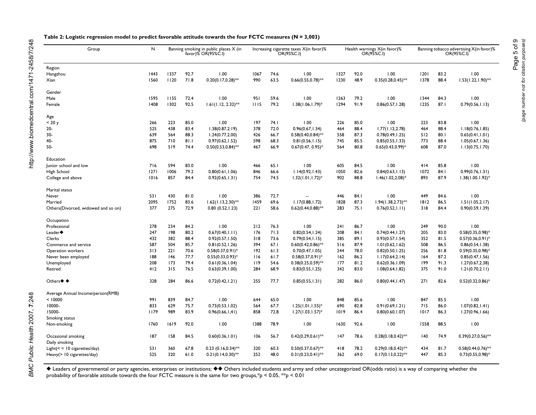l.

#### **Table 2: Logistic regression model to predict favorable attitude towards the four FCTC measures (N = 3,003)**

| Group                                | ${\sf N}$ |      |      | Banning smoking in public places $X$ (in<br>favor)% OR(95%C.I) |      |      | Increasing cigarette taxes X(in favor)%<br>OR(95%C.I) | Health warnings X(in favor)%<br>OR(95%C.I) |      |                       | Banning tobacco advertising X(in favor)%<br>OR(95%C.I) |      |                       |
|--------------------------------------|-----------|------|------|----------------------------------------------------------------|------|------|-------------------------------------------------------|--------------------------------------------|------|-----------------------|--------------------------------------------------------|------|-----------------------|
| Region                               |           |      |      |                                                                |      |      |                                                       |                                            |      |                       |                                                        |      |                       |
| Hangzhou                             | 1443      | 1337 | 92.7 | 1.00                                                           | 1067 | 74.6 | 1.00                                                  | 1327                                       | 92.0 | 1.00                  | 1201                                                   | 83.2 | 1.00                  |
| Xian                                 | 1560      | 1120 | 71.8 | $0.20(0.17, 0.28)$ **                                          | 990  | 63.5 | $0.66(0.55, 0.78)$ **                                 | 1230                                       | 48.9 | $0.35(0.28, 0.45)$ ** | 1378                                                   | 88.4 | $1.53(1.22, 1.90)$ ** |
| Gender                               |           |      |      |                                                                |      |      |                                                       |                                            |      |                       |                                                        |      |                       |
| Male                                 | 1595      | 1155 | 72.4 | 1.00                                                           | 951  | 59.6 | 1.00                                                  | 1263                                       | 79.2 | 1.00                  | 1344                                                   | 84.3 | 1.00                  |
| Female                               | 1408      | 1302 | 92.5 | $1.61(1.12, 2.32)$ **                                          | 1115 | 79.2 | $1.38(1.06, 1.79)$ *                                  | 1294                                       | 91.9 | 0.86(0.57, 1.28)      | 1235                                                   | 87.1 | 0.79(0.56, 1.13)      |
| Age                                  |           |      |      |                                                                |      |      |                                                       |                                            |      |                       |                                                        |      |                       |
| < 20y                                | 266       | 223  | 85.0 | 1.00                                                           | 197  | 74.1 | 1.00                                                  | 226                                        | 85.0 | 1.00                  | 223                                                    | 83.8 | 1.00                  |
| $20 -$                               | 525       | 438  | 83.4 | 1.38(0.87, 2.19)                                               | 378  | 72.0 | 0.96(0.67, 1.34)                                      | 464                                        | 88.4 | 1.77(1.12, 2.78)      | 464                                                    | 88.4 | 1.18(0.76, 1.85)      |
| $30 -$                               | 639       | 564  | 88.3 | 1.24(0.77, 2.00)                                               | 426  | 66.7 | $0.58(0.40, 0.84)$ **                                 | 558                                        | 87.3 | 0.78(0.49, 1.25)      | 512                                                    | 80.1 | 0.65(0.41, 1.01)      |
| 40-                                  | 875       | 710  | 81.1 | 0.97(0.62, 1.52)                                               | 598  | 68.3 | 0.81(0.56, 1.15)                                      | 745                                        | 85.5 | 0.85(0.55, 1.33)      | 773                                                    | 88.4 | 1.05(0.67, 1.36)      |
| 50-                                  | 698       | 519  | 74.4 | $0.50(0.53, 0.84)$ **                                          | 467  | 66.9 | $0.67(0.47, 0.95)^*$                                  | 564                                        | 80.8 | $0.65(0.43, 0.99)$ *  | 608                                                    | 87.0 | 1.13(0.75, 1.70)      |
| Education                            |           |      |      |                                                                |      |      |                                                       |                                            |      |                       |                                                        |      |                       |
| Junior school and low                | 716       | 594  | 83.0 | 1.00                                                           | 466  | 65.1 | 1.00                                                  | 605                                        | 84.5 | 1.00                  | 414                                                    | 85.8 | 1.00                  |
| High School                          | 27        | 1006 | 79.2 | 0.80(0.61, 1.06)                                               | 846  | 66.6 | 1.14(0.92, 1.43)                                      | 1050                                       | 82.6 | 0.84(0.63, 1.13)      | 1072                                                   | 84.1 | 0.99(0.76, 1.31)      |
| College and above                    | 1016      | 857  | 84.4 | 0.92(0.65, 1.31)                                               | 754  | 74.5 | $1.32(1.01, 1.72)^*$                                  | 902                                        | 88.8 | $1.46(1.02, 2.08)$ *  | 893                                                    | 87.9 | $1.38(1.00, 1.92)$ *  |
| Marital status                       |           |      |      |                                                                |      |      |                                                       |                                            |      |                       |                                                        |      |                       |
| Never                                | 531       | 430  | 81.0 | 1.00                                                           | 386  | 72.7 | Ξ.                                                    | 446                                        | 84.I | 1.00                  | 449                                                    | 84.6 | 1.00                  |
| Married                              | 2095      | 1752 | 83.6 | $1.62(1.13, 2.30)$ **                                          | 1459 | 69.6 | 1.17(0.88, 1.72)                                      | 1828                                       | 87.3 | $1.94(1.38, 2.73)$ ** | 1812                                                   | 86.5 | 1.51(1.05, 2.17)      |
| Others (Divorced, widowed and so on) | 377       | 275  | 72.9 | 0.80(0.52, 1.23)                                               | 221  | 58.6 | $0.62(0.44, 0.88)$ **                                 | 283                                        | 75.1 | 0.76(0.52, 1.11)      | 318                                                    | 84.4 | 0.90(0.59, 1.39)      |
| Occupation                           |           |      |      |                                                                |      |      |                                                       |                                            |      |                       |                                                        |      |                       |
| Professional                         | 278       | 234  | 84.2 | 1.00                                                           | 212  | 76.3 | 1.00                                                  | 241                                        | 86.7 | 1.00                  | 249                                                    | 90.0 | 1.00                  |
| Leader◆                              | 247       | 198  | 80.2 | 0.67(0.40, 1.11)                                               | 176  | 71.3 | 0.82(0.54, 1.24)                                      | 208                                        | 84.I | 0.74(0.44, 1.27)      | 205                                                    | 83.0 | $0.58(0.35, 0.98)$ *  |
| Clerks                               | 432       | 382  | 88.4 | 0.92(0.57, 1.50)                                               | 318  | 73.6 | 0.79(0.54, 1.15)                                      | 385                                        | 89.1 | 0.93(0.57, 1.54)      | 352                                                    | 81.5 | $0.57(0.36, 0.91)^*$  |
| Commerce and service                 | 587       | 504  | 85.7 | 0.81(0.52, 1.26)                                               | 394  | 67.1 | $0.60(0.42, 0.86)$ **                                 | 516                                        | 87.9 | 1.01(0.62, 1.62)      | 508                                                    | 86.5 | 0.86(0.54, 1.38)      |
| <b>Operation</b> workers             | 313       | 221  | 70.6 | $0.58(0.37, 0.91)^*$                                           | 192  | 61.3 | 0.70(0.47, 1.05)                                      | 244                                        | 78.0 | 0.82(0.50, 1.25)      | 256                                                    | 81.8 | $0.59(0.35, 0.98)$ *  |
| Never been employed                  | 188       | 146  | 77.7 | $0.55(0.33, 0.93)^*$                                           | 116  | 61.7 | $0.58(0.37, 0.91)^*$                                  | 162                                        | 86.2 | 1.17(0.64, 2.14)      | 164                                                    | 87.2 | 0.85(0.47, 1.56)      |
| Unemployed                           | 208       | 173  | 79.4 | 0.61(0.36, 1.04)                                               | 119  | 54.6 | $0.38(0.25, 0.59)$ **                                 | 177                                        | 81.2 | 0.62(0.36, 1.09)      | 199                                                    | 91.3 | 1.27(0.67, 2.38)      |
| Retired                              | 412       | 315  | 76.5 | 0.63(0.39, 1.00)                                               | 284  | 68.9 | 0.83(0.55, 1.25)                                      | 342                                        | 83.0 | 1.08(0.64, 1.82)      | 375                                                    | 91.0 | 1.21(0.70, 2.11)      |
| Others $\blacklozenge$               | 328       | 284  | 86.6 | 0.72(0.42, 1.21)                                               | 255  | 77.7 | 0.85(0.55, 1.31)                                      | 282                                        | 86.0 | 0.80(0.44, 1.47)      | 271                                                    | 82.6 | $0.52(0.32, 0.86)$ *  |
| Average Annual Income/person(RMB)    |           |      |      |                                                                |      |      |                                                       |                                            |      |                       |                                                        |      |                       |
| < 10000                              | 991       | 839  | 84.7 | 1.00                                                           | 644  | 65.0 | 1.00                                                  | 848                                        | 85.6 | 1.00                  | 847                                                    | 85.5 | 1.00                  |
| 10000-                               | 833       | 629  | 75.7 | 0.73(0.53, 1.02)                                               | 564  | 67.7 | $1.25(1.01, 1.55)$ *                                  | 690                                        | 82.8 | 0.91(0.69, 1.21)      | 715                                                    | 86.0 | 1.07(0.82, 1.41)      |
| 15000-                               | 1179      | 989  | 83.9 | 0.96(0.66, 1, 41)                                              | 858  | 72.8 | $1.27(1.03, 1.57)^*$                                  | 1019                                       | 86.4 | 0.80(0.60, 1.07)      | 1017                                                   | 86.3 | 1.27(0.96, 1.66)      |
| Smoking status                       |           |      |      |                                                                |      |      |                                                       |                                            |      |                       |                                                        |      |                       |
| Non-smoking                          | 1760      | 1619 | 92.0 | 1.00                                                           | 1388 | 78.9 | 1.00                                                  | 1630                                       | 92.6 | 1.00                  | 1558                                                   | 88.5 | 1.00                  |
| Occasional smoking<br>Daily smoking  | 187       | 158  | 84.5 | 0.60(0.36, 1.01)                                               | 106  | 56.7 | $0.42(0.29, 0.61)$ **                                 | 147                                        | 78.6 | $0.28(0.18, 0.42)$ ** | $ 40\rangle$                                           | 74.9 | $0.39(0.27, 0.56)$ ** |
| Light( $\le$ = 10 cigarettes/day)    | 531       | 360  | 67.8 | $0.23$ (0.16,0.34)**                                           | 320  | 60.3 | $0.50(0.37, 0.67)$ **                                 | 418                                        | 78.2 | $0.29(0.18, 0.42)$ ** | 434                                                    | 81.7 | $0.58(0.44, 0.76)$ ** |
| Heavy(> 10 cigarettes/day)           | 525       | 320  | 61.0 | $0.21(0.14, 0.30)$ **                                          | 252  | 48.0 | $0.31(0.23, 0.41)$ **                                 | 362                                        | 69.0 | $0.17(0.13, 0.22)$ ** | 447                                                    | 85.3 | $0.73(0.55, 0.98)$ *  |
|                                      |           |      |      |                                                                |      |      |                                                       |                                            |      |                       |                                                        |      |                       |

◆ Leaders of governmental or party agencies, enterprises or institutions; ◆◆ Others included students and army and other uncategorized OR(odds ratio) is a way of comparing whether the probability of favorable attitude towards the four FCTC measure is the same for two groups,\*p < 0.05, \*\*p < 0.01

*(page number not for citation purposes)*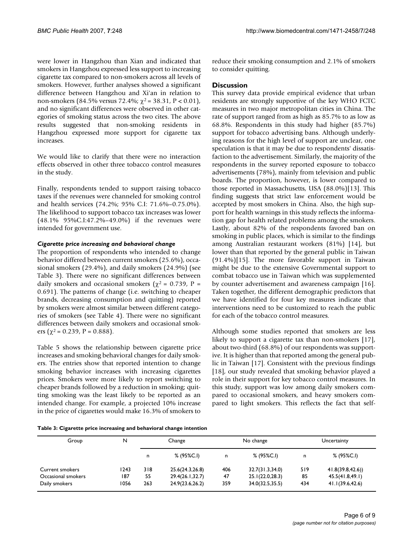were lower in Hangzhou than Xian and indicated that smokers in Hangzhou expressed less support to increasing cigarette tax compared to non-smokers across all levels of smokers. However, further analyses showed a significant difference between Hangzhou and Xi'an in relation to non-smokers (84.5% versus 72.4%;  $\chi^2$  = 38.31, P < 0.01), and no significant differences were observed in other categories of smoking status across the two cites. The above results suggested that non-smoking residents in Hangzhou expressed more support for cigarette tax increases.

We would like to clarify that there were no interaction effects observed in other three tobacco control measures in the study.

Finally, respondents tended to support raising tobacco taxes if the revenues were channeled for smoking control and health services (74.2%; 95% C.I: 71.6%–0.75.0%). The likelihood to support tobacco tax increases was lower (48.1% 95%C.I:47.2%–49.0%) if the revenues were intended for government use.

#### *Cigarette price increasing and behavioral change*

The proportion of respondents who intended to change behavior differed between current smokers (25.6%), occasional smokers (29.4%), and daily smokers (24.9%) (see Table 3). There were no significant differences between daily smokers and occasional smokers ( $\chi^2$  = 0.739, P = 0.691). The patterns of change (i.e. switching to cheaper brands, decreasing consumption and quitting) reported by smokers were almost similar between different categories of smokers (see Table 4). There were no significant differences between daily smokers and occasional smokers ( $\chi^2$  = 0.239, P = 0.888).

Table 5 shows the relationship between cigarette price increases and smoking behavioral changes for daily smokers. The entries show that reported intention to change smoking behavior increases with increasing cigarettes prices. Smokers were more likely to report switching to cheaper brands followed by a reduction in smoking; quitting smoking was the least likely to be reported as an intended change. For example, a projected 10% increase in the price of cigarettes would make 16.3% of smokers to reduce their smoking consumption and 2.1% of smokers to consider quitting.

## **Discussion**

This survey data provide empirical evidence that urban residents are strongly supportive of the key WHO FCTC measures in two major metropolitan cities in China. The rate of support ranged from as high as 85.7% to as low as 68.8%. Respondents in this study had higher (85.7%) support for tobacco advertising bans. Although underlying reasons for the high level of support are unclear, one speculation is that it may be due to respondents' dissatisfaction to the advertisement. Similarly, the majority of the respondents in the survey reported exposure to tobacco advertisements (78%), mainly from television and public boards. The proportion, however, is lower compared to those reported in Massachusetts, USA (88.0%)[13]. This finding suggests that strict law enforcement would be accepted by most smokers in China. Also, the high support for health warnings in this study reflects the information gap for health related problems among the smokers. Lastly, about 82% of the respondents favored ban on smoking in public places, which is similar to the findings among Australian restaurant workers (81%) [14], but lower than that reported by the general public in Taiwan (91.4%)[15]. The more favorable support in Taiwan might be due to the extensive Governmental support to combat tobacco use in Taiwan which was supplemented by counter advertisement and awareness campaign [16]. Taken together, the different demographic predictors that we have identified for four key measures indicate that interventions need to be customized to reach the public for each of the tobacco control measures.

Although some studies reported that smokers are less likely to support a cigarette tax than non-smokers [17], about two-third (68.8%) of our respondents was supportive. It is higher than that reported among the general public in Taiwan [17]. Consistent with the previous findings [18], our study revealed that smoking behavior played a role in their support for key tobacco control measures. In this study, support was low among daily smokers compared to occasional smokers, and heavy smokers compared to light smokers. This reflects the fact that self-

| Table 3: Cigarette price increasing and behavioral change intention |  |  |  |
|---------------------------------------------------------------------|--|--|--|
|---------------------------------------------------------------------|--|--|--|

| Group              | N    |     | Change          |     | No change       |     | Uncertainty      |  |  |
|--------------------|------|-----|-----------------|-----|-----------------|-----|------------------|--|--|
|                    |      | n   | % (95%C.I)      | n   | $% (95\%C.1)$   | n   | % (95%C.I)       |  |  |
| Current smokers    | 1243 | 318 | 25.6(24.3,26.8) | 406 | 32.7(31.3,34.0) | 519 | 41.8(39.8, 42.6) |  |  |
| Occasional smokers | 187  | 55  | 29.4(26.1,32.7) | 47  | 25.1(22.0,28.3) | 85  | 45.5(41.8, 49.1) |  |  |
| Daily smokers      | 1056 | 263 | 24.9(23.6,26.2) | 359 | 34.0(32.5,35.5) | 434 | 41.1(39.6, 42.6) |  |  |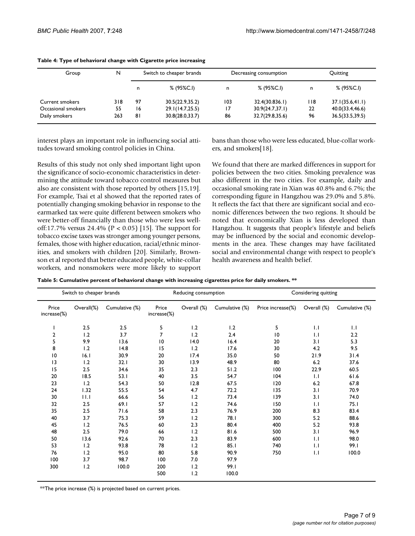| Group              | N   | Switch to cheaper brands |                 |     | Decreasing consumption | Quitting |                  |  |
|--------------------|-----|--------------------------|-----------------|-----|------------------------|----------|------------------|--|
|                    |     | n                        | $% (95\%C.1)$   | n   | $% (95\%C.1)$          | n        | % (95%C.I)       |  |
| Current smokers    | 318 | 97                       | 30.5(22.9,35.2) | 103 | 32.4(30.836.1)         | I 18     | 37.1(35.6, 41.1) |  |
| Occasional smokers | 55  | 16                       | 29.1(14.7,25.5) | 17  | 30.9(24.7,37.1)        | 22       | 40.0(33.4,46.6)  |  |
| Daily smokers      | 263 | 81                       | 30.8(28.0,33.7) | 86  | 32.7(29.8,35.6)        | 96       | 36.5(33.5,39.5)  |  |

| Table 4: Type of behavioral change with Cigarette price increasing |  |  |
|--------------------------------------------------------------------|--|--|
|                                                                    |  |  |

interest plays an important role in influencing social attitudes toward smoking control policies in China.

Results of this study not only shed important light upon the significance of socio-economic characteristics in determining the attitude toward tobacco control measures but also are consistent with those reported by others [15,19]. For example, Tsai et al showed that the reported rates of potentially changing smoking behavior in response to the earmarked tax were quite different between smokers who were better-off financially than those who were less welloff:17.7% versus 24.4% (P < 0.05) [15]. The support for tobacco excise taxes was stronger among younger persons, females, those with higher education, racial/ethnic minorities, and smokers with children [20]. Similarly, Brownson et al reported that better educated people, white-collar workers, and nonsmokers were more likely to support bans than those who were less educated, blue-collar workers, and smokers[18].

We found that there are marked differences in support for policies between the two cities. Smoking prevalence was also different in the two cities. For example, daily and occasional smoking rate in Xian was 40.8% and 6.7%; the corresponding figure in Hangzhou was 29.0% and 5.8%. It reflects the fact that there are significant social and economic differences between the two regions. It should be noted that economically Xian is less developed than Hangzhou. It suggests that people's lifestyle and beliefs may be influenced by the social and economic developments in the area. These changes may have facilitated social and environmental change with respect to people's health awareness and health belief.

**Table 5: Cumulative percent of behavioral change with increasing cigarettes price for daily smokers. \*\***

| Switch to cheaper brands |            |                | Reducing consumption |             |                | Considering quitting |              |                |  |
|--------------------------|------------|----------------|----------------------|-------------|----------------|----------------------|--------------|----------------|--|
| Price<br>increase(%)     | Overall(%) | Cumulative (%) | Price<br>increase(%) | Overall (%) | Cumulative (%) | Price increase(%)    | Overall (%)  | Cumulative (%) |  |
| ı                        | 2.5        | 2.5            | 5                    | 1.2         | 1.2            | 5                    | 1.1          | $\mathsf{L}$   |  |
| 2                        | 1.2        | 3.7            | $\overline{7}$       | 1.2         | 2.4            | 10                   | 1.1          | 2.2            |  |
| 5                        | 9.9        | 13.6           | 10                   | 14.0        | 16.4           | 20                   | 3.1          | 5.3            |  |
| 8                        | 1.2        | 14.8           | 15                   | 1.2         | 17.6           | 30                   | 4.2          | 9.5            |  |
| 10                       | 16.1       | 30.9           | 20                   | 17.4        | 35.0           | 50                   | 21.9         | 31.4           |  |
| 3                        | 1.2        | 32.1           | 30                   | 13.9        | 48.9           | 80                   | 6.2          | 37.6           |  |
| 15                       | 2.5        | 34.6           | 35                   | 2.3         | 51.2           | 100                  | 22.9         | 60.5           |  |
| 20                       | 18.5       | 53.1           | 40                   | 3.5         | 54.7           | 104                  | $\mathbf{L}$ | 61.6           |  |
| 23                       | 1.2        | 54.3           | 50                   | 12.8        | 67.5           | 120                  | 6.2          | 67.8           |  |
| 24                       | 1.32       | 55.5           | 54                   | 4.7         | 72.2           | 135                  | 3.1          | 70.9           |  |
| 30                       | 11.1       | 66.6           | 56                   | 1.2         | 73.4           | 139                  | 3.1          | 74.0           |  |
| 32                       | 2.5        | 69.1           | 57                   | 1.2         | 74.6           | 150                  | $\mathbf{L}$ | 75.1           |  |
| 35                       | 2.5        | 71.6           | 58                   | 2.3         | 76.9           | 200                  | 8.3          | 83.4           |  |
| 40                       | 3.7        | 75.3           | 59                   | 1.2         | 78.1           | 300                  | 5.2          | 88.6           |  |
| 45                       | 1.2        | 76.5           | 60                   | 2.3         | 80.4           | 400                  | 5.2          | 93.8           |  |
| 48                       | 2.5        | 79.0           | 66                   | 1.2         | 81.6           | 500                  | 3.1          | 96.9           |  |
| 50                       | 13.6       | 92.6           | 70                   | 2.3         | 83.9           | 600                  | $\mathbf{L}$ | 98.0           |  |
| 53                       | 1.2        | 93.8           | 78                   | 1.2         | 85.1           | 740                  | 1.1          | 99.I           |  |
| 76                       | 1.2        | 95.0           | 80                   | 5.8         | 90.9           | 750                  | 1.1          | 100.0          |  |
| 100                      | 3.7        | 98.7           | 100                  | 7.0         | 97.9           |                      |              |                |  |
| 300                      | 1.2        | 100.0          | 200                  | 1.2         | 99.1           |                      |              |                |  |
|                          |            |                | 500                  | 1.2         | 100.0          |                      |              |                |  |

\*\*The price increase (%) is projected based on current prices.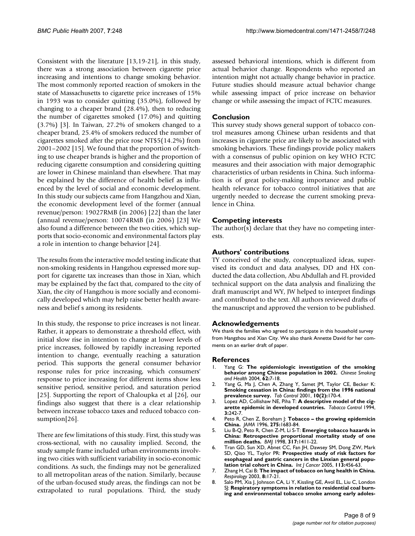Consistent with the literature [13,19-21], in this study, there was a strong association between cigarette price increasing and intentions to change smoking behavior. The most commonly reported reaction of smokers in the state of Massachusetts to cigarette price increases of 15% in 1993 was to consider quitting (35.0%), followed by changing to a cheaper brand (28.4%), then to reducing the number of cigarettes smoked (17.0%) and quitting (3.7%) [3]. In Taiwan, 27.2% of smokers changed to a cheaper brand, 25.4% of smokers reduced the number of cigarettes smoked after the price rose NT\$5(14.2%) from 2001–2002 [15]. We found that the proportion of switching to use cheaper brands is higher and the proportion of reducing cigarette consumption and considering quitting are lower in Chinese mainland than elsewhere. That may be explained by the difference of health belief as influenced by the level of social and economic development. In this study our subjects came from Hangzhou and Xian, the economic development level of the former (annual revenue/person: 19027RMB (in 2006) [22] than the later (annual revenue/person: 10074RMB (in 2006) [23] We also found a difference between the two cities, which supports that socio-economic and environmental factors play a role in intention to change behavior [24].

The results from the interactive model testing indicate that non-smoking residents in Hangzhou expressed more support for cigarette tax increases than those in Xian, which may be explained by the fact that, compared to the city of Xian, the city of Hangzhou is more socially and economically developed which may help raise better health awareness and belief s among its residents.

In this study, the response to price increases is not linear. Rather, it appears to demonstrate a threshold effect, with initial slow rise in intention to change at lower levels of price increases, followed by rapidly increasing reported intention to change, eventually reaching a saturation period. This supports the general consumer behavior response rules for price increasing, which consumers' response to price increasing for different items show less sensitive period, sensitive period, and saturation period [25]. Supporting the report of Chaloupka et al [26], our findings also suggest that there is a clear relationship between increase tobacco taxes and reduced tobacco consumption[26].

There are few limitations of this study. First, this study was cross-sectional, with no causality implied. Second, the study sample frame included urban environments involving two cities with sufficient variability in socio-economic conditions. As such, the findings may not be generalized to all metropolitan areas of the nation. Similarly, because of the urban-focused study areas, the findings can not be extrapolated to rural populations. Third, the study assessed behavioral intentions, which is different from actual behavior change. Respondents who reported an intention might not actually change behavior in practice. Future studies should measure actual behavior change while assessing impact of price increase on behavior change or while assessing the impact of FCTC measures.

## **Conclusion**

This survey study shows general support of tobacco control measures among Chinese urban residents and that increases in cigarette price are likely to be associated with smoking behaviors. These findings provide policy makers with a consensus of public opinion on key WHO FCTC measures and their association with major demographic characteristics of urban residents in China. Such information is of great policy-making importance and public health relevance for tobacco control initiatives that are urgently needed to decrease the current smoking prevalence in China.

## **Competing interests**

The author(s) declare that they have no competing interests.

## **Authors' contributions**

TY conceived of the study, conceptualized ideas, supervised its conduct and data analyses, DD and HX conducted the data collection, Abu Abdullah and FL provided technical support on the data analysis and finalizing the draft manuscript and WY, JW helped to interpret findings and contributed to the text. All authors reviewed drafts of the manuscript and approved the version to be published.

#### **Acknowledgements**

We thank the families who agreed to participate in this household survey from Hangzhou and Xian City. We also thank Annette David for her comments on an earlier draft of paper.

#### **References**

- 1. Yang G: **The epidemiologic investigation of the smoking behavior among Chinese population in 2002.** *Chinese Smoking and Health* 2004, **62:**7-18.
- 2. Yang G, Ma J, Chen A, Zhang Y, Samet JM, Taylor CE, Becker K: **[Smoking cessation in China: findings from the 1996 national](http://www.ncbi.nlm.nih.gov/entrez/query.fcgi?cmd=Retrieve&db=PubMed&dopt=Abstract&list_uids=11387539) [prevalence survey.](http://www.ncbi.nlm.nih.gov/entrez/query.fcgi?cmd=Retrieve&db=PubMed&dopt=Abstract&list_uids=11387539)** *Tob Control* 2001, **10(2):**170-4.
- 3. Lopez AD, Collishaw NE, Piha T: **A descriptive model of the cigarette epidemic in developed countries.** *Tobacco Control* 1994, **3:**242-7.
- 4. Peto R, Chen Z, Boreham J: **[Tobacco the growing epidemicin](http://www.ncbi.nlm.nih.gov/entrez/query.fcgi?cmd=Retrieve&db=PubMed&dopt=Abstract&list_uids=8637146) [China.](http://www.ncbi.nlm.nih.gov/entrez/query.fcgi?cmd=Retrieve&db=PubMed&dopt=Abstract&list_uids=8637146)** *JAMA* 1996, **275:**1683-84.
- 5. Liu B-Q, Peto R, Chen Z-M, Li S-T: **[Emerging tobacco hazards in](http://www.ncbi.nlm.nih.gov/entrez/query.fcgi?cmd=Retrieve&db=PubMed&dopt=Abstract&list_uids=9822393) [China: Retrospective proportional mortality study of one](http://www.ncbi.nlm.nih.gov/entrez/query.fcgi?cmd=Retrieve&db=PubMed&dopt=Abstract&list_uids=9822393) [million deaths.](http://www.ncbi.nlm.nih.gov/entrez/query.fcgi?cmd=Retrieve&db=PubMed&dopt=Abstract&list_uids=9822393)** *BMJ* 1998, **317:**1411-22.
- 6. Tran GD, Sun XD, Abnet CC, Fan JH, Dawsey SM, Dong ZW, Mark SD, Qiao YL, Taylor PR: **[Prospective study of risk factors for](http://www.ncbi.nlm.nih.gov/entrez/query.fcgi?cmd=Retrieve&db=PubMed&dopt=Abstract&list_uids=15455378) [esophageal and gastric cancers in the Linxian general popu](http://www.ncbi.nlm.nih.gov/entrez/query.fcgi?cmd=Retrieve&db=PubMed&dopt=Abstract&list_uids=15455378)[lation trial cohort in China.](http://www.ncbi.nlm.nih.gov/entrez/query.fcgi?cmd=Retrieve&db=PubMed&dopt=Abstract&list_uids=15455378)** *Int J Cancer* 2005, **113:**456-63.
- 7. Zhang H, Cai B: **[The impact of tobacco on lung health in China.](http://www.ncbi.nlm.nih.gov/entrez/query.fcgi?cmd=Retrieve&db=PubMed&dopt=Abstract&list_uids=12856737)** *Respirology* 2003, **8:**17-21.
- 8. Salo PM, Xia J, Johnson CA, Li Y, Kissling GE, Avol EL, Liu C, London SJ: **[Respiratory symptoms in relation to residential coal burn](http://www.ncbi.nlm.nih.gov/entrez/query.fcgi?cmd=Retrieve&db=PubMed&dopt=Abstract&list_uids=15585063)[ing and environmental tobacco smoke among early adoles](http://www.ncbi.nlm.nih.gov/entrez/query.fcgi?cmd=Retrieve&db=PubMed&dopt=Abstract&list_uids=15585063)-**